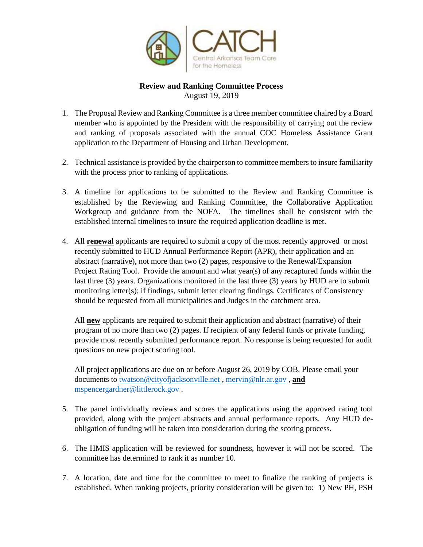

## **Review and Ranking Committee Process** August 19, 2019

- 1. The Proposal Review and Ranking Committee is a three member committee chaired by a Board member who is appointed by the President with the responsibility of carrying out the review and ranking of proposals associated with the annual COC Homeless Assistance Grant application to the Department of Housing and Urban Development.
- 2. Technical assistance is provided by the chairperson to committee members to insure familiarity with the process prior to ranking of applications.
- 3. A timeline for applications to be submitted to the Review and Ranking Committee is established by the Reviewing and Ranking Committee, the Collaborative Application Workgroup and guidance from the NOFA. The timelines shall be consistent with the established internal timelines to insure the required application deadline is met.
- 4. All **renewal** applicants are required to submit a copy of the most recently approved or most recently submitted to HUD Annual Performance Report (APR), their application and an abstract (narrative), not more than two (2) pages, responsive to the Renewal/Expansion Project Rating Tool. Provide the amount and what year(s) of any recaptured funds within the last three (3) years. Organizations monitored in the last three (3) years by HUD are to submit monitoring letter(s); if findings, submit letter clearing findings. Certificates of Consistency should be requested from all municipalities and Judges in the catchment area.

All **new** applicants are required to submit their application and abstract (narrative) of their program of no more than two (2) pages. If recipient of any federal funds or private funding, provide most recently submitted performance report. No response is being requested for audit questions on new project scoring tool.

All project applications are due on or before August 26, 2019 by COB. Please email your documents to [twatson@cityofjacksonville.net](mailto:twatson@cityofjacksonville.net) , [mervin@nlr.ar.gov](mailto:mervin@nlr.ar.gov) , **and** [mspencergardner@littlerock.gov](mailto:mspencergardner@littlerock.gov) .

- 5. The panel individually reviews and scores the applications using the approved rating tool provided, along with the project abstracts and annual performance reports. Any HUD deobligation of funding will be taken into consideration during the scoring process.
- 6. The HMIS application will be reviewed for soundness, however it will not be scored. The committee has determined to rank it as number 10.
- 7. A location, date and time for the committee to meet to finalize the ranking of projects is established. When ranking projects, priority consideration will be given to: 1) New PH, PSH